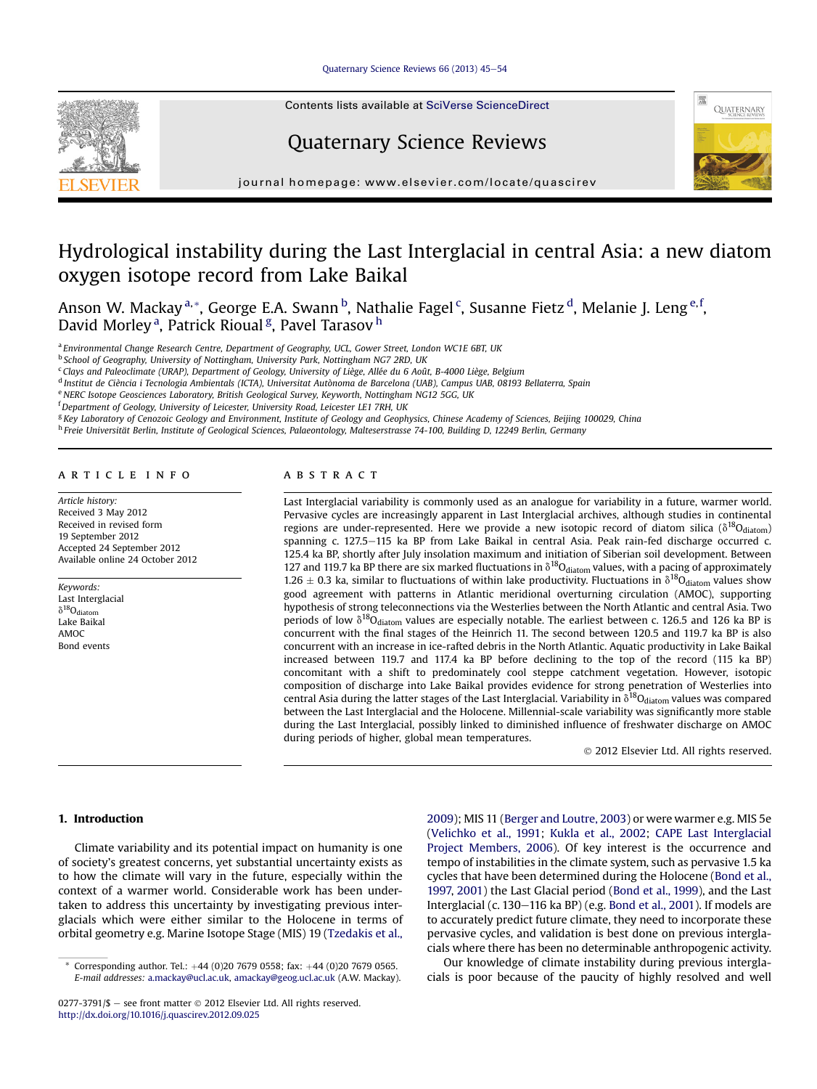#### Ouaternary Science Reviews 66 (2013) 45-[54](http://dx.doi.org/10.1016/j.quascirev.2012.09.025)

Contents lists available at SciVerse ScienceDirect

# Quaternary Science Reviews



journal homepage: [www.elsevier.com/locate/quascirev](http://www.elsevier.com/locate/quascirev)

## Hydrological instability during the Last Interglacial in central Asia: a new diatom oxygen isotope record from Lake Baikal

Anson W. Mackay <sup>a, \*</sup>, George E.A. Swann <sup>b</sup>, Nathalie Fagel <sup>c</sup>, Susanne Fietz <sup>d</sup>, Melanie J. Leng <sup>e, f</sup>, David Morley<sup>a</sup>, Patrick Rioual<sup>g</sup>, Pavel Tarasov <sup>h</sup>

a Environmental Change Research Centre, Department of Geography, UCL, Gower Street, London WC1E 6BT, UK

<sup>b</sup> School of Geography, University of Nottingham, University Park, Nottingham NG7 2RD, UK

<sup>c</sup> Clays and Paleoclimate (URAP), Department of Geology, University of Liège, Allée du 6 Août, B-4000 Liège, Belgium

<sup>d</sup> Institut de Ciència i Tecnologia Ambientals (ICTA), Universitat Autònoma de Barcelona (UAB), Campus UAB, 08193 Bellaterra, Spain

e NERC Isotope Geosciences Laboratory, British Geological Survey, Keyworth, Nottingham NG12 5GG, UK

<sup>f</sup> Department of Geology, University of Leicester, University Road, Leicester LE1 7RH, UK

<sup>g</sup> Key Laboratory of Cenozoic Geology and Environment, Institute of Geology and Geophysics, Chinese Academy of Sciences, Beijing 100029, China

<sup>h</sup> Freie Universität Berlin, Institute of Geological Sciences, Palaeontology, Malteserstrasse 74-100, Building D, 12249 Berlin, Germany

## article info

Article history: Received 3 May 2012 Received in revised form 19 September 2012 Accepted 24 September 2012 Available online 24 October 2012

Keywords: Last Interglacial  $\delta^{18}O_{diaton}$ Lake Baikal AMOC Bond events

## **ABSTRACT**

Last Interglacial variability is commonly used as an analogue for variability in a future, warmer world. Pervasive cycles are increasingly apparent in Last Interglacial archives, although studies in continental regions are under-represented. Here we provide a new isotopic record of diatom silica ( $\delta^{18}O_{diatom}$ ) spanning c. 127.5–115 ka BP from Lake Baikal in central Asia. Peak rain-fed discharge occurred c. 125.4 ka BP, shortly after July insolation maximum and initiation of Siberian soil development. Between 127 and 119.7 ka BP there are six marked fluctuations in  $\delta^{18}O_{\text{diatom}}$  values, with a pacing of approximately 1.26  $\pm$  0.3 ka, similar to fluctuations of within lake productivity. Fluctuations in  $\delta^{18}O_{\text{diatom}}$  values show good agreement with patterns in Atlantic meridional overturning circulation (AMOC), supporting hypothesis of strong teleconnections via the Westerlies between the North Atlantic and central Asia. Two periods of low  $\delta^{18}O_{\text{diatom}}$  values are especially notable. The earliest between c. 126.5 and 126 ka BP is concurrent with the final stages of the Heinrich 11. The second between 120.5 and 119.7 ka BP is also concurrent with an increase in ice-rafted debris in the North Atlantic. Aquatic productivity in Lake Baikal increased between 119.7 and 117.4 ka BP before declining to the top of the record (115 ka BP) concomitant with a shift to predominately cool steppe catchment vegetation. However, isotopic composition of discharge into Lake Baikal provides evidence for strong penetration of Westerlies into central Asia during the latter stages of the Last Interglacial. Variability in  $\delta^{18}O_{\text{diatom}}$  values was compared between the Last Interglacial and the Holocene. Millennial-scale variability was significantly more stable during the Last Interglacial, possibly linked to diminished influence of freshwater discharge on AMOC during periods of higher, global mean temperatures.

2012 Elsevier Ltd. All rights reserved.

## 1. Introduction

Climate variability and its potential impact on humanity is one of society's greatest concerns, yet substantial uncertainty exists as to how the climate will vary in the future, especially within the context of a warmer world. Considerable work has been undertaken to address this uncertainty by investigating previous interglacials which were either similar to the Holocene in terms of orbital geometry e.g. Marine Isotope Stage (MIS) 19 [\(Tzedakis et al.,](#page-9-0)

[2009\)](#page-9-0); MIS 11 ([Berger and Loutre, 2003\)](#page-8-0) or were warmer e.g. MIS 5e ([Velichko et al., 1991](#page-9-0); [Kukla et al., 2002](#page-8-0); [CAPE Last Interglacial](#page-8-0) [Project Members, 2006](#page-8-0)). Of key interest is the occurrence and tempo of instabilities in the climate system, such as pervasive 1.5 ka cycles that have been determined during the Holocene [\(Bond et al.,](#page-8-0) [1997,](#page-8-0) [2001](#page-8-0)) the Last Glacial period [\(Bond et al., 1999](#page-8-0)), and the Last Interglacial (c. 130-116 ka BP) (e.g. [Bond et al., 2001\)](#page-8-0). If models are to accurately predict future climate, they need to incorporate these pervasive cycles, and validation is best done on previous interglacials where there has been no determinable anthropogenic activity.

Our knowledge of climate instability during previous interglacials is poor because of the paucity of highly resolved and well



Corresponding author. Tel.:  $+44$  (0)20 7679 0558; fax:  $+44$  (0)20 7679 0565. E-mail addresses: [a.mackay@ucl.ac.uk](mailto:a.mackay@ucl.ac.uk), [amackay@geog.ucl.ac.uk](mailto:amackay@geog.ucl.ac.uk) (A.W. Mackay).

 $0277-3791/\$$  - see front matter  $\degree$  2012 Elsevier Ltd. All rights reserved. <http://dx.doi.org/10.1016/j.quascirev.2012.09.025>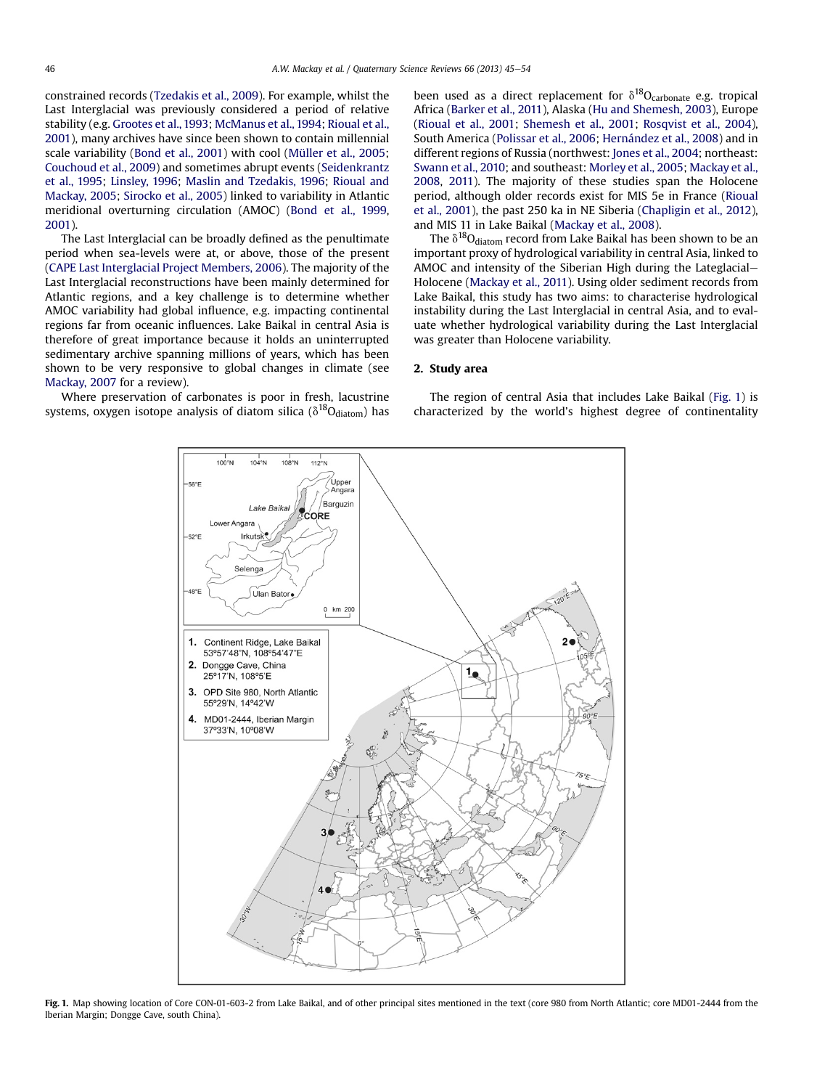<span id="page-1-0"></span>constrained records [\(Tzedakis et al., 2009](#page-9-0)). For example, whilst the Last Interglacial was previously considered a period of relative stability (e.g. [Grootes et al., 1993](#page-8-0); [McManus et al., 1994](#page-9-0); [Rioual et al.,](#page-9-0) [2001\)](#page-9-0), many archives have since been shown to contain millennial scale variability ([Bond et al., 2001\)](#page-8-0) with cool [\(Müller et al., 2005](#page-9-0); [Couchoud et al., 2009\)](#page-8-0) and sometimes abrupt events [\(Seidenkrantz](#page-9-0) [et al., 1995;](#page-9-0) [Linsley, 1996](#page-8-0); [Maslin and Tzedakis, 1996;](#page-9-0) [Rioual and](#page-9-0) [Mackay, 2005;](#page-9-0) [Sirocko et al., 2005](#page-9-0)) linked to variability in Atlantic meridional overturning circulation (AMOC) ([Bond et al., 1999,](#page-8-0) [2001\)](#page-8-0).

The Last Interglacial can be broadly defined as the penultimate period when sea-levels were at, or above, those of the present ([CAPE Last Interglacial Project Members, 2006\)](#page-8-0). The majority of the Last Interglacial reconstructions have been mainly determined for Atlantic regions, and a key challenge is to determine whether AMOC variability had global influence, e.g. impacting continental regions far from oceanic influences. Lake Baikal in central Asia is therefore of great importance because it holds an uninterrupted sedimentary archive spanning millions of years, which has been shown to be very responsive to global changes in climate (see [Mackay, 2007](#page-8-0) for a review).

Where preservation of carbonates is poor in fresh, lacustrine systems, oxygen isotope analysis of diatom silica ( $\delta^{18}O_{diatom}$ ) has been used as a direct replacement for  $\delta^{18}O_{\text{carbonate}}$  e.g. tropical Africa ([Barker et al., 2011\)](#page-8-0), Alaska [\(Hu and Shemesh, 2003](#page-8-0)), Europe ([Rioual et al., 2001;](#page-9-0) [Shemesh et al., 2001;](#page-9-0) [Rosqvist et al., 2004\)](#page-9-0), South America [\(Polissar et al., 2006](#page-9-0); [Hernández et al., 2008](#page-8-0)) and in different regions of Russia (northwest: [Jones et al., 2004](#page-8-0); northeast: [Swann et al., 2010](#page-9-0); and southeast: [Morley et al., 2005](#page-9-0); [Mackay et al.,](#page-8-0) [2008](#page-8-0), [2011](#page-8-0)). The majority of these studies span the Holocene period, although older records exist for MIS 5e in France [\(Rioual](#page-9-0) [et al., 2001\)](#page-9-0), the past 250 ka in NE Siberia [\(Chapligin et al., 2012\)](#page-8-0), and MIS 11 in Lake Baikal [\(Mackay et al., 2008](#page-8-0)).

The  $\delta^{18}O_{\text{diatom}}$  record from Lake Baikal has been shown to be an important proxy of hydrological variability in central Asia, linked to AMOC and intensity of the Siberian High during the Lateglacial-Holocene ([Mackay et al., 2011\)](#page-8-0). Using older sediment records from Lake Baikal, this study has two aims: to characterise hydrological instability during the Last Interglacial in central Asia, and to evaluate whether hydrological variability during the Last Interglacial was greater than Holocene variability.

## 2. Study area

The region of central Asia that includes Lake Baikal (Fig. 1) is characterized by the world's highest degree of continentality



Fig. 1. Map showing location of Core CON-01-603-2 from Lake Baikal, and of other principal sites mentioned in the text (core 980 from North Atlantic; core MD01-2444 from the Iberian Margin; Dongge Cave, south China).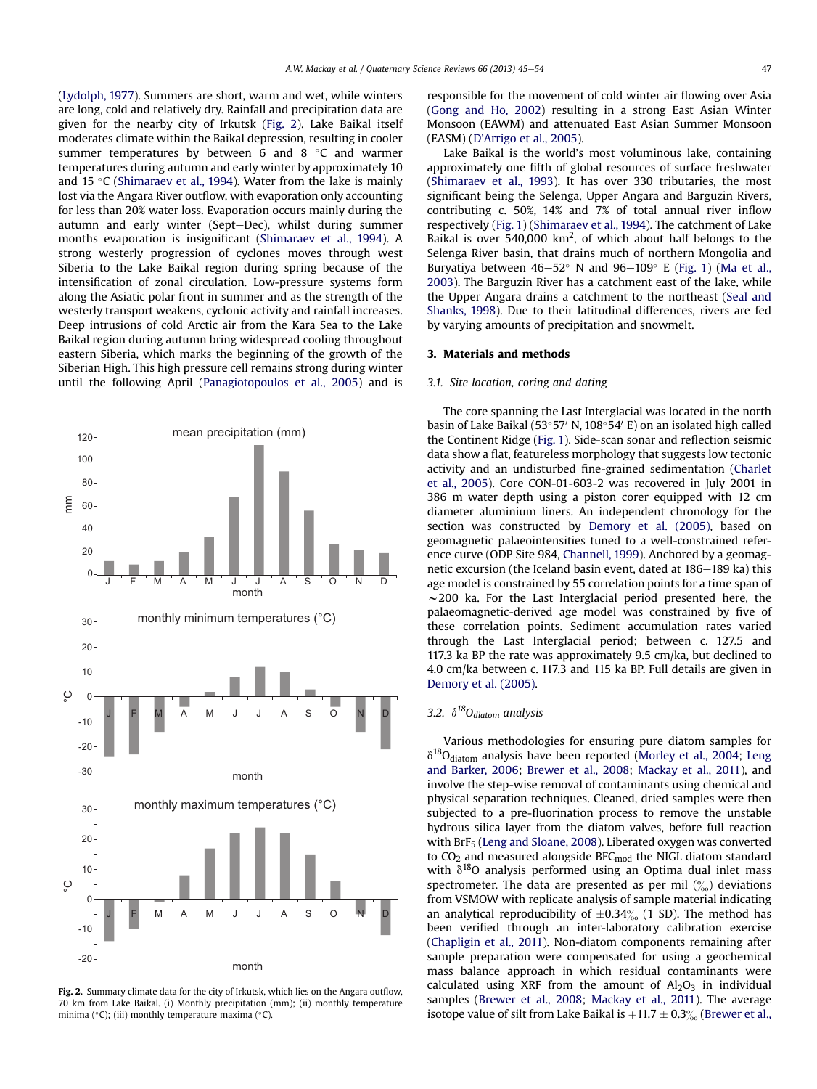([Lydolph, 1977\)](#page-8-0). Summers are short, warm and wet, while winters are long, cold and relatively dry. Rainfall and precipitation data are given for the nearby city of Irkutsk (Fig. 2). Lake Baikal itself moderates climate within the Baikal depression, resulting in cooler summer temperatures by between 6 and 8  $\degree$ C and warmer temperatures during autumn and early winter by approximately 10 and 15  $\degree$ C ([Shimaraev et al., 1994\)](#page-9-0). Water from the lake is mainly lost via the Angara River outflow, with evaporation only accounting for less than 20% water loss. Evaporation occurs mainly during the autumn and early winter (Sept-Dec), whilst during summer months evaporation is insignificant ([Shimaraev et al., 1994\)](#page-9-0). A strong westerly progression of cyclones moves through west Siberia to the Lake Baikal region during spring because of the intensification of zonal circulation. Low-pressure systems form along the Asiatic polar front in summer and as the strength of the westerly transport weakens, cyclonic activity and rainfall increases. Deep intrusions of cold Arctic air from the Kara Sea to the Lake Baikal region during autumn bring widespread cooling throughout eastern Siberia, which marks the beginning of the growth of the Siberian High. This high pressure cell remains strong during winter until the following April [\(Panagiotopoulos et al., 2005](#page-9-0)) and is



Fig. 2. Summary climate data for the city of Irkutsk, which lies on the Angara outflow, 70 km from Lake Baikal. (i) Monthly precipitation (mm); (ii) monthly temperature minima ( $\degree$ C); (iii) monthly temperature maxima ( $\degree$ C).

responsible for the movement of cold winter air flowing over Asia ([Gong and Ho, 2002\)](#page-8-0) resulting in a strong East Asian Winter Monsoon (EAWM) and attenuated East Asian Summer Monsoon (EASM) (D'[Arrigo et al., 2005\)](#page-8-0).

Lake Baikal is the world's most voluminous lake, containing approximately one fifth of global resources of surface freshwater ([Shimaraev et al., 1993\)](#page-9-0). It has over 330 tributaries, the most significant being the Selenga, Upper Angara and Barguzin Rivers, contributing c. 50%, 14% and 7% of total annual river inflow respectively ([Fig. 1](#page-1-0)) [\(Shimaraev et al., 1994\)](#page-9-0). The catchment of Lake Baikal is over 540,000  $km^2$ , of which about half belongs to the Selenga River basin, that drains much of northern Mongolia and Buryatiya between  $46-52^{\circ}$  N and  $96-109^{\circ}$  E ([Fig. 1\)](#page-1-0) [\(Ma et al.,](#page-8-0) [2003\)](#page-8-0). The Barguzin River has a catchment east of the lake, while the Upper Angara drains a catchment to the northeast ([Seal and](#page-9-0) [Shanks, 1998\)](#page-9-0). Due to their latitudinal differences, rivers are fed by varying amounts of precipitation and snowmelt.

## 3. Materials and methods

#### 3.1. Site location, coring and dating

The core spanning the Last Interglacial was located in the north basin of Lake Baikal (53°57' N, 108°54' E) on an isolated high called the Continent Ridge [\(Fig. 1](#page-1-0)). Side-scan sonar and reflection seismic data show a flat, featureless morphology that suggests low tectonic activity and an undisturbed fine-grained sedimentation [\(Charlet](#page-8-0) [et al., 2005\)](#page-8-0). Core CON-01-603-2 was recovered in July 2001 in 386 m water depth using a piston corer equipped with 12 cm diameter aluminium liners. An independent chronology for the section was constructed by [Demory et al. \(2005\),](#page-8-0) based on geomagnetic palaeointensities tuned to a well-constrained reference curve (ODP Site 984, [Channell, 1999\)](#page-8-0). Anchored by a geomagnetic excursion (the Iceland basin event, dated at 186-189 ka) this age model is constrained by 55 correlation points for a time span of  $\sim$ 200 ka. For the Last Interglacial period presented here, the palaeomagnetic-derived age model was constrained by five of these correlation points. Sediment accumulation rates varied through the Last Interglacial period; between c. 127.5 and 117.3 ka BP the rate was approximately 9.5 cm/ka, but declined to 4.0 cm/ka between c. 117.3 and 115 ka BP. Full details are given in [Demory et al. \(2005\)](#page-8-0).

## 3.2.  $\delta^{18}O_{diatom}$  analysis

Various methodologies for ensuring pure diatom samples for  $\delta^{18}O_{\rm diatom}$  analysis have been reported ([Morley et al., 2004;](#page-9-0) [Leng](#page-8-0) [and Barker, 2006](#page-8-0); [Brewer et al., 2008;](#page-8-0) [Mackay et al., 2011\)](#page-8-0), and involve the step-wise removal of contaminants using chemical and physical separation techniques. Cleaned, dried samples were then subjected to a pre-fluorination process to remove the unstable hydrous silica layer from the diatom valves, before full reaction with BrF<sub>5</sub> ([Leng and Sloane, 2008\)](#page-8-0). Liberated oxygen was converted to  $CO<sub>2</sub>$  and measured alongside BFC<sub>mod</sub> the NIGL diatom standard with  $\delta^{18}$ O analysis performed using an Optima dual inlet mass spectrometer. The data are presented as per mil  $\binom{6}{00}$  deviations from VSMOW with replicate analysis of sample material indicating an analytical reproducibility of  $\pm 0.34\%$  (1 SD). The method has been verified through an inter-laboratory calibration exercise ([Chapligin et al., 2011\)](#page-8-0). Non-diatom components remaining after sample preparation were compensated for using a geochemical mass balance approach in which residual contaminants were calculated using XRF from the amount of  $Al_2O_3$  in individual samples [\(Brewer et al., 2008;](#page-8-0) [Mackay et al., 2011](#page-8-0)). The average isotope value of silt from Lake Baikal is  $+11.7 \pm 0.3\%$  ([Brewer et al.,](#page-8-0)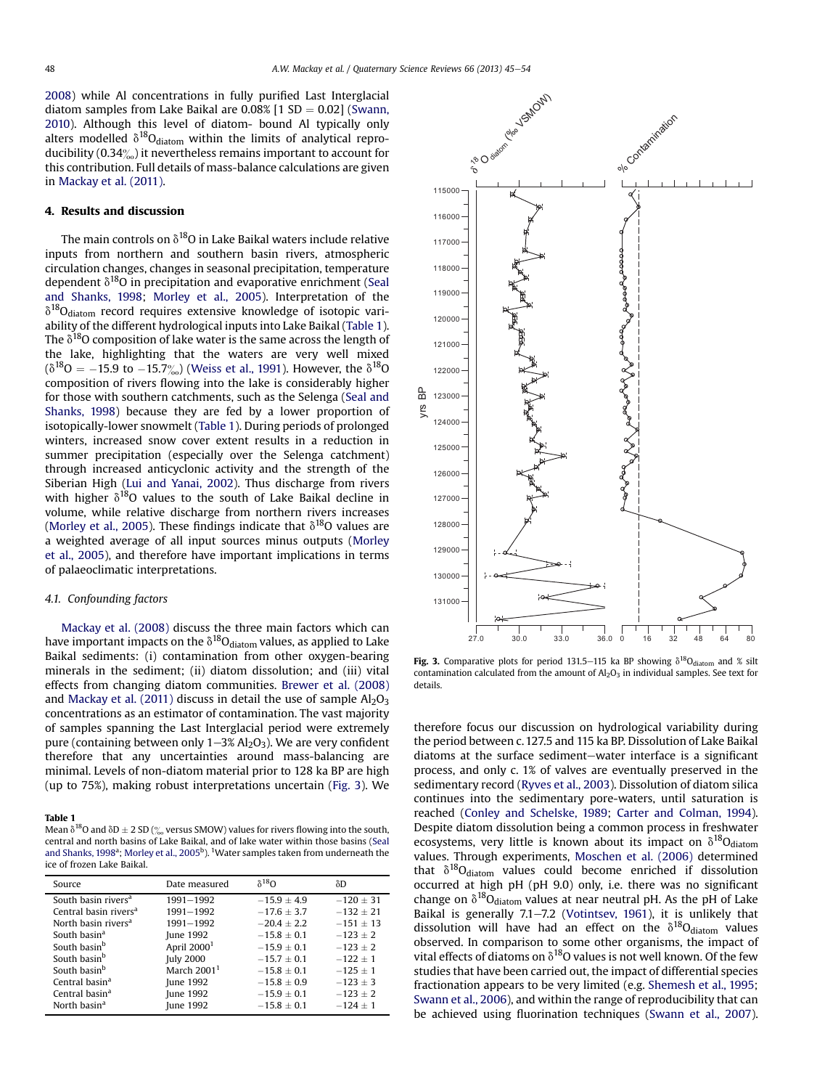[2008](#page-8-0)) while Al concentrations in fully purified Last Interglacial diatom samples from Lake Baikal are  $0.08\%$  [1 SD = 0.02] ([Swann,](#page-9-0) [2010](#page-9-0)). Although this level of diatom- bound Al typically only alters modelled  $\delta^{18}O_{\text{diatom}}$  within the limits of analytical reproducibility (0.34 $\frac{\%}{\%}$ ) it nevertheless remains important to account for this contribution. Full details of mass-balance calculations are given in [Mackay et al. \(2011\).](#page-8-0)

## 4. Results and discussion

The main controls on  $\delta^{18}$ O in Lake Baikal waters include relative inputs from northern and southern basin rivers, atmospheric circulation changes, changes in seasonal precipitation, temperature dependent  $\delta^{18}O$  in precipitation and evaporative enrichment ([Seal](#page-9-0) [and Shanks, 1998;](#page-9-0) [Morley et al., 2005\)](#page-9-0). Interpretation of the  $\delta^{18}$ O<sub>diatom</sub> record requires extensive knowledge of isotopic variability of the different hydrological inputs into Lake Baikal (Table 1). The  $\delta^{18}$ O composition of lake water is the same across the length of the lake, highlighting that the waters are very well mixed  $(\delta^{18}O = -15.9$  to  $-15.7\%)$  [\(Weiss et al., 1991\)](#page-9-0). However, the  $\delta^{18}O$ composition of rivers flowing into the lake is considerably higher for those with southern catchments, such as the Selenga [\(Seal and](#page-9-0) [Shanks, 1998](#page-9-0)) because they are fed by a lower proportion of isotopically-lower snowmelt (Table 1). During periods of prolonged winters, increased snow cover extent results in a reduction in summer precipitation (especially over the Selenga catchment) through increased anticyclonic activity and the strength of the Siberian High [\(Lui and Yanai, 2002](#page-8-0)). Thus discharge from rivers with higher  $\delta^{18}O$  values to the south of Lake Baikal decline in volume, while relative discharge from northern rivers increases ([Morley et al., 2005](#page-9-0)). These findings indicate that  $\delta^{18}$ O values are a weighted average of all input sources minus outputs [\(Morley](#page-9-0) [et al., 2005](#page-9-0)), and therefore have important implications in terms of palaeoclimatic interpretations.

## 4.1. Confounding factors

[Mackay et al. \(2008\)](#page-8-0) discuss the three main factors which can have important impacts on the  $\delta^{18}O_{\text{diatom}}$  values, as applied to Lake Baikal sediments: (i) contamination from other oxygen-bearing minerals in the sediment; (ii) diatom dissolution; and (iii) vital effects from changing diatom communities. [Brewer et al. \(2008\)](#page-8-0) and [Mackay et al. \(2011\)](#page-8-0) discuss in detail the use of sample  $Al_2O_3$ concentrations as an estimator of contamination. The vast majority of samples spanning the Last Interglacial period were extremely pure (containing between only  $1-3\%$  Al<sub>2</sub>O<sub>3</sub>). We are very confident therefore that any uncertainties around mass-balancing are minimal. Levels of non-diatom material prior to 128 ka BP are high (up to 75%), making robust interpretations uncertain (Fig. 3). We

## Table 1

Mean  $\delta^{18}$ O and  $\delta$ D  $\pm$  2 SD ( $\%$  versus SMOW) values for rivers flowing into the south, central and north basins of Lake Baikal, and of lake water within those basins ([Seal](#page-9-0) [and Shanks, 1998](#page-9-0)<sup>a</sup>; Morley et al., 2005<sup>b</sup>). <sup>1</sup>Water samples taken from underneath the ice of frozen Lake Baikal.

| Source                            | Date measured           | $\delta^{18}$ O | δD            |
|-----------------------------------|-------------------------|-----------------|---------------|
| South basin rivers <sup>a</sup>   | 1991-1992               | $-15.9 + 4.9$   | $-120 \pm 31$ |
| Central basin rivers <sup>a</sup> | 1991-1992               | $-17.6 + 3.7$   | $-132 + 21$   |
| North basin rivers <sup>a</sup>   | 1991-1992               | $-20.4 + 2.2$   | $-151 + 13$   |
| South basin <sup>a</sup>          | June 1992               | $-15.8 + 0.1$   | $-123 + 2$    |
| South basin <sup>b</sup>          | April 2000 <sup>1</sup> | $-15.9 + 0.1$   | $-123 + 2$    |
| South basin <sup>b</sup>          | <b>July 2000</b>        | $-15.7 + 0.1$   | $-122 + 1$    |
| South basin <sup>b</sup>          | March $20011$           | $-15.8 + 0.1$   | $-125 + 1$    |
| Central basin <sup>a</sup>        | June 1992               | $-15.8 + 0.9$   | $-123 + 3$    |
| Central basin <sup>a</sup>        | June 1992               | $-15.9 + 0.1$   | $-123 + 2$    |
| North basin <sup>a</sup>          | June 1992               | $-15.8 + 0.1$   | $-124 + 1$    |



Fig. 3. Comparative plots for period 131.5–115 ka BP showing  $\delta^{18}O_{\text{diatom}}$  and % silt contamination calculated from the amount of  $A<sub>12</sub>O<sub>3</sub>$  in individual samples. See text for details.

therefore focus our discussion on hydrological variability during the period between c. 127.5 and 115 ka BP. Dissolution of Lake Baikal diatoms at the surface sediment-water interface is a significant process, and only c. 1% of valves are eventually preserved in the sedimentary record [\(Ryves et al., 2003\)](#page-9-0). Dissolution of diatom silica continues into the sedimentary pore-waters, until saturation is reached ([Conley and Schelske, 1989;](#page-8-0) [Carter and Colman, 1994\)](#page-8-0). Despite diatom dissolution being a common process in freshwater ecosystems, very little is known about its impact on  $\delta^{18}O_{\text{diatom}}$ values. Through experiments, [Moschen et al. \(2006\)](#page-9-0) determined that  $\delta^{18}O_{\text{diatom}}$  values could become enriched if dissolution occurred at high pH (pH 9.0) only, i.e. there was no significant change on  $\delta^{18}O_{diatom}$  values at near neutral pH. As the pH of Lake Baikal is generally  $7.1 - 7.2$  ([Votintsev, 1961](#page-9-0)), it is unlikely that dissolution will have had an effect on the  $\delta^{18}O_{\text{diatom}}$  values observed. In comparison to some other organisms, the impact of vital effects of diatoms on  $\delta^{18}$ O values is not well known. Of the few studies that have been carried out, the impact of differential species fractionation appears to be very limited (e.g. [Shemesh et al., 1995](#page-9-0); [Swann et al., 2006\)](#page-9-0), and within the range of reproducibility that can be achieved using fluorination techniques ([Swann et al., 2007\)](#page-9-0).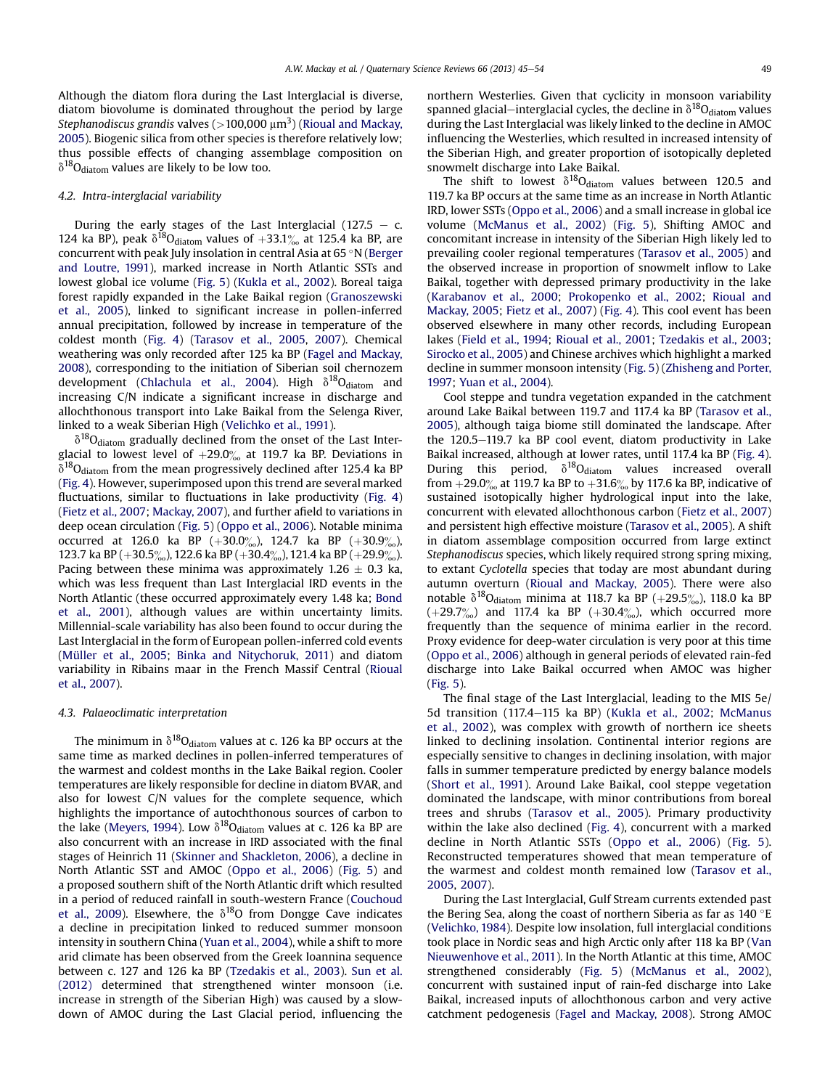Although the diatom flora during the Last Interglacial is diverse, diatom biovolume is dominated throughout the period by large Stephanodiscus grandis valves (>100,000  $\mu \mathrm{m}^3$ ) ([Rioual and Mackay,](#page-9-0) [2005\)](#page-9-0). Biogenic silica from other species is therefore relatively low; thus possible effects of changing assemblage composition on  $\delta^{18}O_{\text{diatom}}$  values are likely to be low too.

### 4.2. Intra-interglacial variability

During the early stages of the Last Interglacial (127.5  $-$  c. 124 ka BP), peak  $\delta^{18}O_{diatom}$  values of  $+33.1\%$  at 125.4 ka BP, are concurrent with peak July insolation in central Asia at  $65°N$  ([Berger](#page-8-0) [and Loutre, 1991](#page-8-0)), marked increase in North Atlantic SSTs and lowest global ice volume [\(Fig. 5\)](#page-6-0) ([Kukla et al., 2002\)](#page-8-0). Boreal taiga forest rapidly expanded in the Lake Baikal region [\(Granoszewski](#page-8-0) [et al., 2005](#page-8-0)), linked to significant increase in pollen-inferred annual precipitation, followed by increase in temperature of the coldest month ([Fig. 4\)](#page-5-0) ([Tarasov et al., 2005,](#page-9-0) [2007\)](#page-9-0). Chemical weathering was only recorded after 125 ka BP [\(Fagel and Mackay,](#page-8-0) [2008\)](#page-8-0), corresponding to the initiation of Siberian soil chernozem development ([Chlachula et al., 2004](#page-8-0)). High  $\delta^{18}O_{\text{diatom}}$  and increasing C/N indicate a significant increase in discharge and allochthonous transport into Lake Baikal from the Selenga River, linked to a weak Siberian High ([Velichko et al., 1991](#page-9-0)).

 $\delta^{18}O_{\text{diatom}}$  gradually declined from the onset of the Last Interglacial to lowest level of  $+29.0\%$  at 119.7 ka BP. Deviations in  $\delta^{18}O_{\text{diatom}}$  from the mean progressively declined after 125.4 ka BP ([Fig. 4\)](#page-5-0). However, superimposed upon this trend are several marked fluctuations, similar to fluctuations in lake productivity ([Fig. 4\)](#page-5-0) ([Fietz et al., 2007](#page-8-0); [Mackay, 2007\)](#page-8-0), and further afield to variations in deep ocean circulation ([Fig. 5\)](#page-6-0) [\(Oppo et al., 2006\)](#page-9-0). Notable minima occurred at 126.0 ka BP  $(+30.0\%)$ , 124.7 ka BP  $(+30.9\%)$ 123.7 ka BP (+30.5 $\frac{\%}{\%}$ ), 122.6 ka BP (+30.4 $\frac{\%}{\%}$ ), 121.4 ka BP (+29.9 $\frac{\%}{\%}$ ). Pacing between these minima was approximately 1.26  $\pm$  0.3 ka, which was less frequent than Last Interglacial IRD events in the North Atlantic (these occurred approximately every 1.48 ka; [Bond](#page-8-0) [et al., 2001](#page-8-0)), although values are within uncertainty limits. Millennial-scale variability has also been found to occur during the Last Interglacial in the form of European pollen-inferred cold events ([Müller et al., 2005;](#page-9-0) [Binka and Nitychoruk, 2011](#page-8-0)) and diatom variability in Ribains maar in the French Massif Central ([Rioual](#page-9-0) [et al., 2007](#page-9-0)).

#### 4.3. Palaeoclimatic interpretation

The minimum in  $\delta^{18}O_{\text{diatom}}$  values at c. 126 ka BP occurs at the same time as marked declines in pollen-inferred temperatures of the warmest and coldest months in the Lake Baikal region. Cooler temperatures are likely responsible for decline in diatom BVAR, and also for lowest C/N values for the complete sequence, which highlights the importance of autochthonous sources of carbon to the lake [\(Meyers, 1994\)](#page-9-0). Low  $\delta^{18}O_{\text{diatom}}$  values at c. 126 ka BP are also concurrent with an increase in IRD associated with the final stages of Heinrich 11 [\(Skinner and Shackleton, 2006\)](#page-9-0), a decline in North Atlantic SST and AMOC [\(Oppo et al., 2006\)](#page-9-0) [\(Fig. 5](#page-6-0)) and a proposed southern shift of the North Atlantic drift which resulted in a period of reduced rainfall in south-western France ([Couchoud](#page-8-0) [et al., 2009\)](#page-8-0). Elsewhere, the  $\delta^{18}$ O from Dongge Cave indicates a decline in precipitation linked to reduced summer monsoon intensity in southern China ([Yuan et al., 2004](#page-9-0)), while a shift to more arid climate has been observed from the Greek Ioannina sequence between c. 127 and 126 ka BP ([Tzedakis et al., 2003](#page-9-0)). [Sun et al.](#page-9-0) [\(2012\)](#page-9-0) determined that strengthened winter monsoon (i.e. increase in strength of the Siberian High) was caused by a slowdown of AMOC during the Last Glacial period, influencing the northern Westerlies. Given that cyclicity in monsoon variability spanned glacial-interglacial cycles, the decline in  $\delta^{18}O_{\text{diatom}}$  values during the Last Interglacial was likely linked to the decline in AMOC influencing the Westerlies, which resulted in increased intensity of the Siberian High, and greater proportion of isotopically depleted snowmelt discharge into Lake Baikal.

The shift to lowest  $\delta^{18}O_{\text{diatom}}$  values between 120.5 and 119.7 ka BP occurs at the same time as an increase in North Atlantic IRD, lower SSTs [\(Oppo et al., 2006](#page-9-0)) and a small increase in global ice volume [\(McManus et al., 2002\)](#page-9-0) [\(Fig. 5\)](#page-6-0), Shifting AMOC and concomitant increase in intensity of the Siberian High likely led to prevailing cooler regional temperatures ([Tarasov et al., 2005\)](#page-9-0) and the observed increase in proportion of snowmelt inflow to Lake Baikal, together with depressed primary productivity in the lake ([Karabanov et al., 2000;](#page-8-0) [Prokopenko et al., 2002;](#page-9-0) [Rioual and](#page-9-0) [Mackay, 2005;](#page-9-0) [Fietz et al., 2007](#page-8-0)) ([Fig. 4](#page-5-0)). This cool event has been observed elsewhere in many other records, including European lakes ([Field et al., 1994;](#page-8-0) [Rioual et al., 2001](#page-9-0); [Tzedakis et al., 2003;](#page-9-0) [Sirocko et al., 2005\)](#page-9-0) and Chinese archives which highlight a marked decline in summer monsoon intensity [\(Fig. 5\)](#page-6-0) ([Zhisheng and Porter,](#page-9-0) [1997;](#page-9-0) [Yuan et al., 2004\)](#page-9-0).

Cool steppe and tundra vegetation expanded in the catchment around Lake Baikal between 119.7 and 117.4 ka BP ([Tarasov et al.,](#page-9-0) [2005\)](#page-9-0), although taiga biome still dominated the landscape. After the 120.5-119.7 ka BP cool event, diatom productivity in Lake Baikal increased, although at lower rates, until 117.4 ka BP ([Fig. 4\)](#page-5-0). During this period,  $\delta^{18}O_{\text{diatom}}$  values increased overall from  $+29.0\%$  at 119.7 ka BP to  $+31.6\%$  by 117.6 ka BP, indicative of sustained isotopically higher hydrological input into the lake, concurrent with elevated allochthonous carbon [\(Fietz et al., 2007\)](#page-8-0) and persistent high effective moisture [\(Tarasov et al., 2005](#page-9-0)). A shift in diatom assemblage composition occurred from large extinct Stephanodiscus species, which likely required strong spring mixing, to extant Cyclotella species that today are most abundant during autumn overturn ([Rioual and Mackay, 2005](#page-9-0)). There were also notable  $\delta^{18}O_{diatom}$  minima at 118.7 ka BP (+29.5%), 118.0 ka BP  $(+29.7\%)$  and 117.4 ka BP  $(+30.4\%)$ , which occurred more frequently than the sequence of minima earlier in the record. Proxy evidence for deep-water circulation is very poor at this time ([Oppo et al., 2006](#page-9-0)) although in general periods of elevated rain-fed discharge into Lake Baikal occurred when AMOC was higher ([Fig. 5\)](#page-6-0).

The final stage of the Last Interglacial, leading to the MIS 5e/ 5d transition (117.4-115 ka BP) ([Kukla et al., 2002;](#page-8-0) [McManus](#page-9-0) [et al., 2002\)](#page-9-0), was complex with growth of northern ice sheets linked to declining insolation. Continental interior regions are especially sensitive to changes in declining insolation, with major falls in summer temperature predicted by energy balance models ([Short et al., 1991](#page-9-0)). Around Lake Baikal, cool steppe vegetation dominated the landscape, with minor contributions from boreal trees and shrubs [\(Tarasov et al., 2005\)](#page-9-0). Primary productivity within the lake also declined [\(Fig. 4](#page-5-0)), concurrent with a marked decline in North Atlantic SSTs ([Oppo et al., 2006](#page-9-0)) ([Fig. 5\)](#page-6-0). Reconstructed temperatures showed that mean temperature of the warmest and coldest month remained low [\(Tarasov et al.,](#page-9-0) [2005](#page-9-0), [2007](#page-9-0)).

During the Last Interglacial, Gulf Stream currents extended past the Bering Sea, along the coast of northern Siberia as far as  $140^{\circ}E$ ([Velichko, 1984](#page-9-0)). Despite low insolation, full interglacial conditions took place in Nordic seas and high Arctic only after 118 ka BP ([Van](#page-9-0) [Nieuwenhove et al., 2011\)](#page-9-0). In the North Atlantic at this time, AMOC strengthened considerably [\(Fig. 5\)](#page-6-0) [\(McManus et al., 2002\)](#page-9-0), concurrent with sustained input of rain-fed discharge into Lake Baikal, increased inputs of allochthonous carbon and very active catchment pedogenesis [\(Fagel and Mackay, 2008\)](#page-8-0). Strong AMOC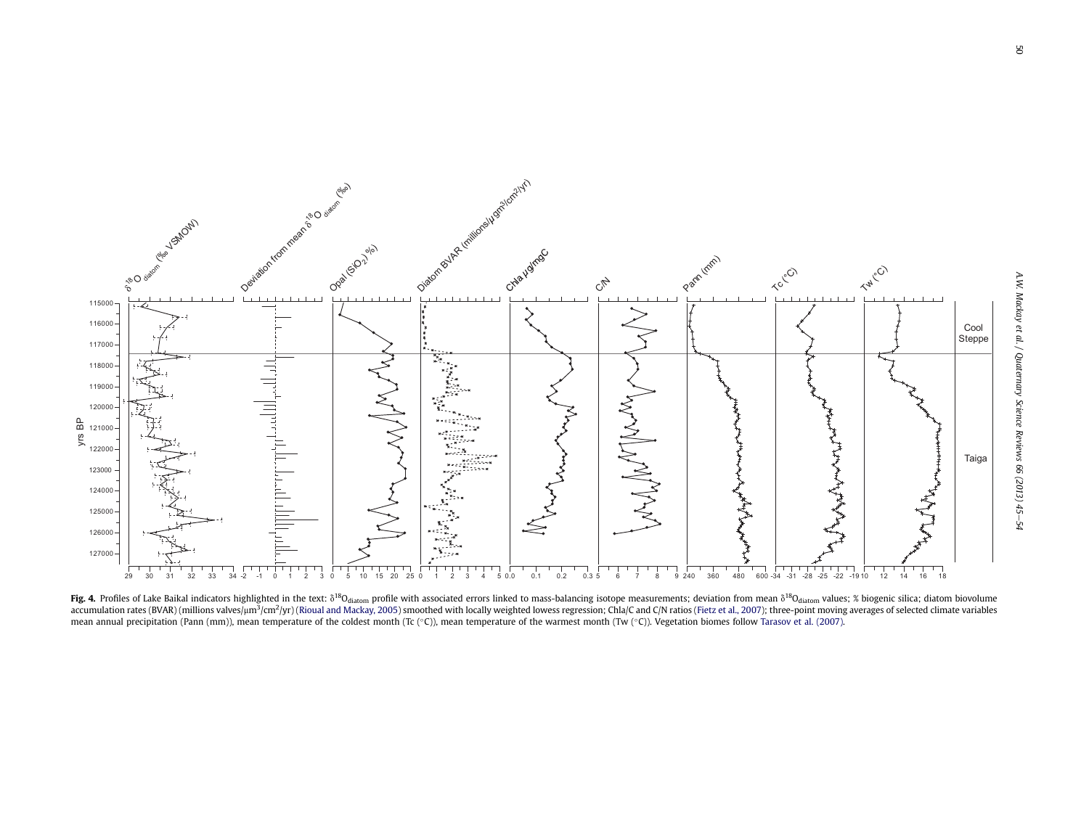<span id="page-5-0"></span>

Fig. 4. Profiles of Lake Baikal indicators highlighted in the text:  $\delta^{18}O_{\text{diatom}}$  profile with associated errors linked to mass-balancing isotope measurements; deviation from mean  $\delta^{18}O_{\text{diatom}}$  values; % biogenic sil accumulation rates (BVAR) (millions valves/um<sup>3</sup>/cm<sup>2</sup>/vr) (Rioual and [Mackay,](#page-9-0) 2005) smoothed with locally weighted lowess regression; Chla/C and C/N ratios (Fietz et al., [2007](#page-8-0)); three-point moving averages of selected cli mean annual precipitation (Pann (mm)), mean temperature of the coldest month (Tc (°C)), mean temperature of the warmest month (Tw (°C)). Vegetation biomes follow Tarasov et al. [\(2007\)](#page-9-0).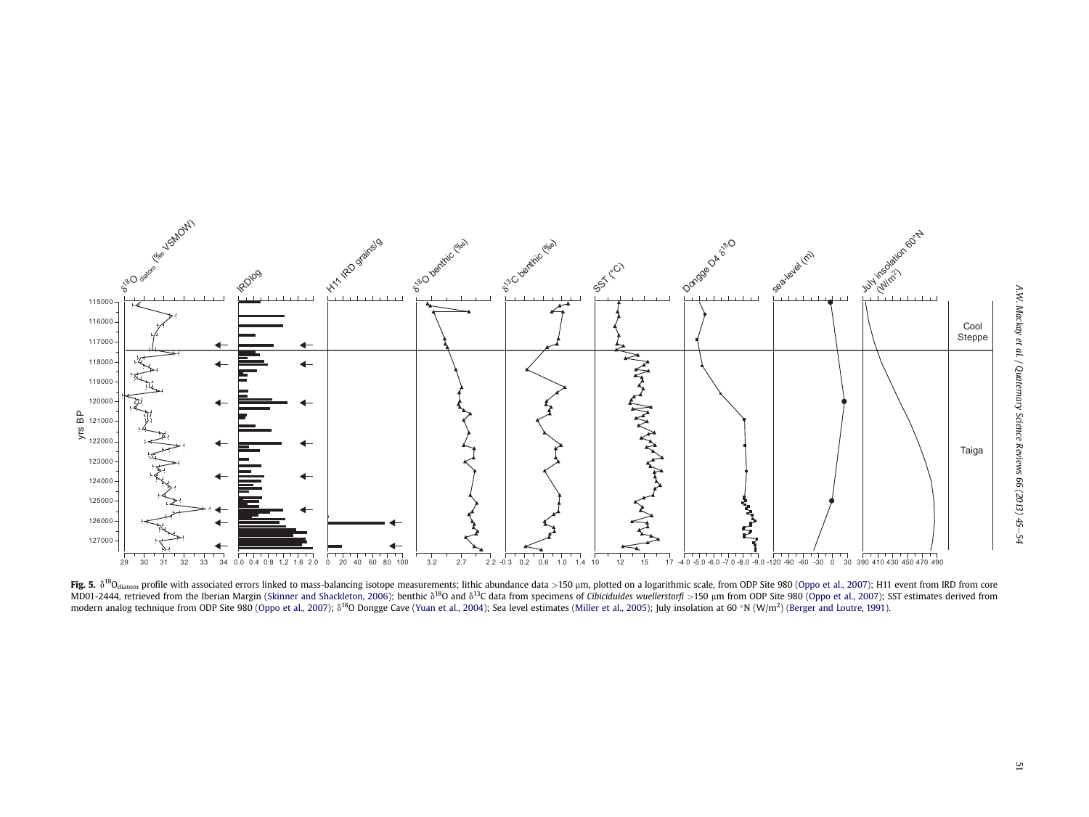<span id="page-6-0"></span>

Fig. 5.  $\delta^{18}O_{\text{diatom}}$  profile with associated errors linked to mass-balancing isotope measurements; lithic abundance data >150 µm, plotted on a logarithmic scale, from ODP Site 980 ([Oppo](#page-9-0) et al., 2007); H11 event from IR MD01-2444, retrieved from the Iberian Margin (Skinner and [Shackleton,](#page-9-0) 2006); benthic  $\delta^{18}$ O and  $\delta^{13}$ C data from specimens of Cibiciduides wuellerstorfi >150 um from ODP Site 980 ([Oppo](#page-9-0) et al., 2007); SST estimates d modern analog technique from ODP Site 980 ([Oppo](#page-9-0) et al., 2007);  $\delta^{18}$ O Dongge Cave ([Yuan](#page-9-0) et al., 2004); Sea level estimates ([Miller](#page-9-0) et al., 2005); July insolation at 60 °N (W/m<sup>2</sup>) ([Berger](#page-8-0) and Loutre, 1991).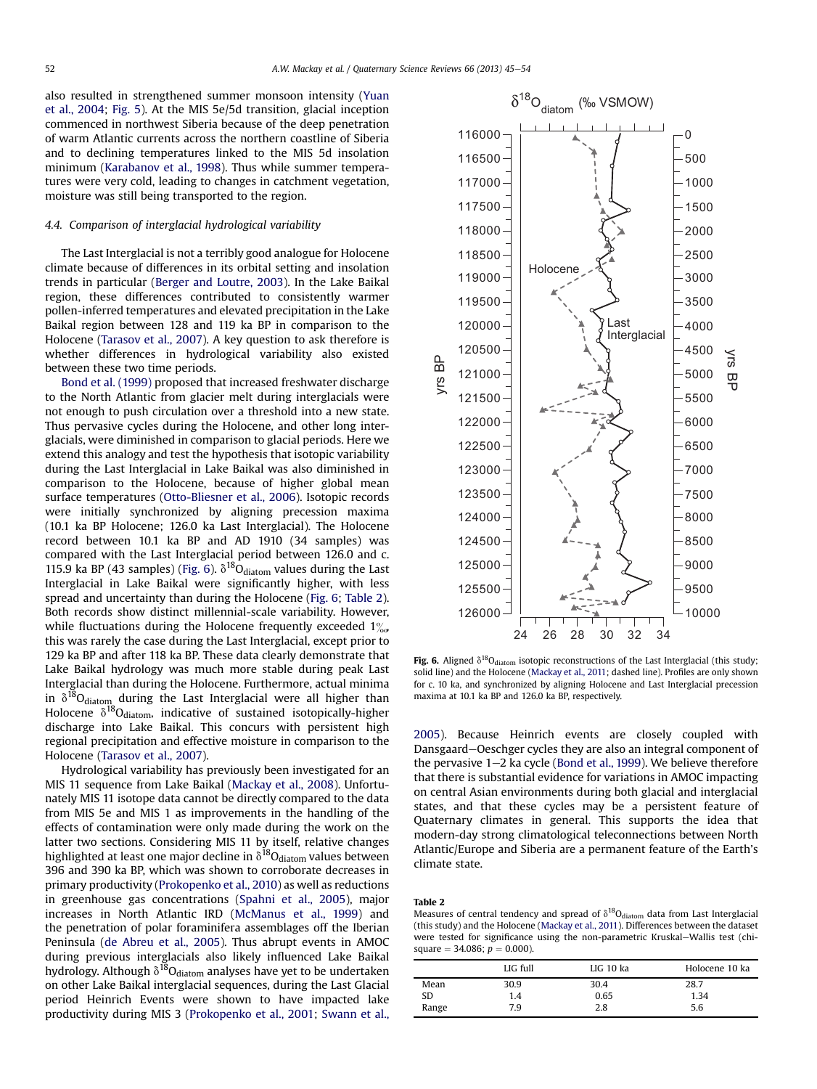also resulted in strengthened summer monsoon intensity ([Yuan](#page-9-0) [et al., 2004](#page-9-0); [Fig. 5\)](#page-6-0). At the MIS 5e/5d transition, glacial inception commenced in northwest Siberia because of the deep penetration of warm Atlantic currents across the northern coastline of Siberia and to declining temperatures linked to the MIS 5d insolation minimum [\(Karabanov et al., 1998](#page-8-0)). Thus while summer temperatures were very cold, leading to changes in catchment vegetation, moisture was still being transported to the region.

## 4.4. Comparison of interglacial hydrological variability

The Last Interglacial is not a terribly good analogue for Holocene climate because of differences in its orbital setting and insolation trends in particular [\(Berger and Loutre, 2003\)](#page-8-0). In the Lake Baikal region, these differences contributed to consistently warmer pollen-inferred temperatures and elevated precipitation in the Lake Baikal region between 128 and 119 ka BP in comparison to the Holocene ([Tarasov et al., 2007\)](#page-9-0). A key question to ask therefore is whether differences in hydrological variability also existed between these two time periods.

[Bond et al. \(1999\)](#page-8-0) proposed that increased freshwater discharge to the North Atlantic from glacier melt during interglacials were not enough to push circulation over a threshold into a new state. Thus pervasive cycles during the Holocene, and other long interglacials, were diminished in comparison to glacial periods. Here we extend this analogy and test the hypothesis that isotopic variability during the Last Interglacial in Lake Baikal was also diminished in comparison to the Holocene, because of higher global mean surface temperatures [\(Otto-Bliesner et al., 2006\)](#page-9-0). Isotopic records were initially synchronized by aligning precession maxima (10.1 ka BP Holocene; 126.0 ka Last Interglacial). The Holocene record between 10.1 ka BP and AD 1910 (34 samples) was compared with the Last Interglacial period between 126.0 and c. 115.9 ka BP (43 samples) (Fig. 6).  $\delta^{18}O_{\text{diatom}}$  values during the Last Interglacial in Lake Baikal were significantly higher, with less spread and uncertainty than during the Holocene (Fig. 6; Table 2). Both records show distinct millennial-scale variability. However, while fluctuations during the Holocene frequently exceeded  $1\%$ this was rarely the case during the Last Interglacial, except prior to 129 ka BP and after 118 ka BP. These data clearly demonstrate that Lake Baikal hydrology was much more stable during peak Last Interglacial than during the Holocene. Furthermore, actual minima in  $\delta^{18}O_{\rm diatom}$  during the Last Interglacial were all higher than Holocene  $\delta^{18}$ O<sub>diatom</sub>, indicative of sustained isotopically-higher discharge into Lake Baikal. This concurs with persistent high regional precipitation and effective moisture in comparison to the Holocene ([Tarasov et al., 2007](#page-9-0)).

Hydrological variability has previously been investigated for an MIS 11 sequence from Lake Baikal [\(Mackay et al., 2008](#page-8-0)). Unfortunately MIS 11 isotope data cannot be directly compared to the data from MIS 5e and MIS 1 as improvements in the handling of the effects of contamination were only made during the work on the latter two sections. Considering MIS 11 by itself, relative changes highlighted at least one major decline in  $\delta^{18}O_{diatom}$  values between 396 and 390 ka BP, which was shown to corroborate decreases in primary productivity ([Prokopenko et al., 2010](#page-9-0)) as well as reductions in greenhouse gas concentrations ([Spahni et al., 2005](#page-9-0)), major increases in North Atlantic IRD [\(McManus et al., 1999](#page-9-0)) and the penetration of polar foraminifera assemblages off the Iberian Peninsula [\(de Abreu et al., 2005\)](#page-8-0). Thus abrupt events in AMOC during previous interglacials also likely influenced Lake Baikal hydrology. Although  $\delta^{18}O_{\text{diatom}}$  analyses have yet to be undertaken on other Lake Baikal interglacial sequences, during the Last Glacial period Heinrich Events were shown to have impacted lake productivity during MIS 3 [\(Prokopenko et al., 2001;](#page-9-0) [Swann et al.,](#page-9-0)



Fig. 6. Aligned  $\delta^{18}O_{diatom}$  isotopic reconstructions of the Last Interglacial (this study; solid line) and the Holocene [\(Mackay et al., 2011](#page-8-0); dashed line). Profiles are only shown for c. 10 ka, and synchronized by aligning Holocene and Last Interglacial precession maxima at 10.1 ka BP and 126.0 ka BP, respectively.

[2005](#page-9-0)). Because Heinrich events are closely coupled with Dansgaard-Oeschger cycles they are also an integral component of the pervasive  $1-2$  ka cycle [\(Bond et al., 1999](#page-8-0)). We believe therefore that there is substantial evidence for variations in AMOC impacting on central Asian environments during both glacial and interglacial states, and that these cycles may be a persistent feature of Quaternary climates in general. This supports the idea that modern-day strong climatological teleconnections between North Atlantic/Europe and Siberia are a permanent feature of the Earth's climate state.

#### Table 2

Measures of central tendency and spread of  $\delta^{18}O_{\text{diatom}}$  data from Last Interglacial (this study) and the Holocene ([Mackay et al., 2011\)](#page-8-0). Differences between the dataset were tested for significance using the non-parametric Kruskal-Wallis test (chisquare  $=$  34.086;  $p = 0.000$ ).

|       | LIG full | LIG 10 ka | Holocene 10 ka |
|-------|----------|-----------|----------------|
| Mean  | 30.9     | 30.4      | 28.7           |
| SD    | 1.4      | 0.65      | 1.34           |
| Range | 7.9      | 2.8       | 5.6            |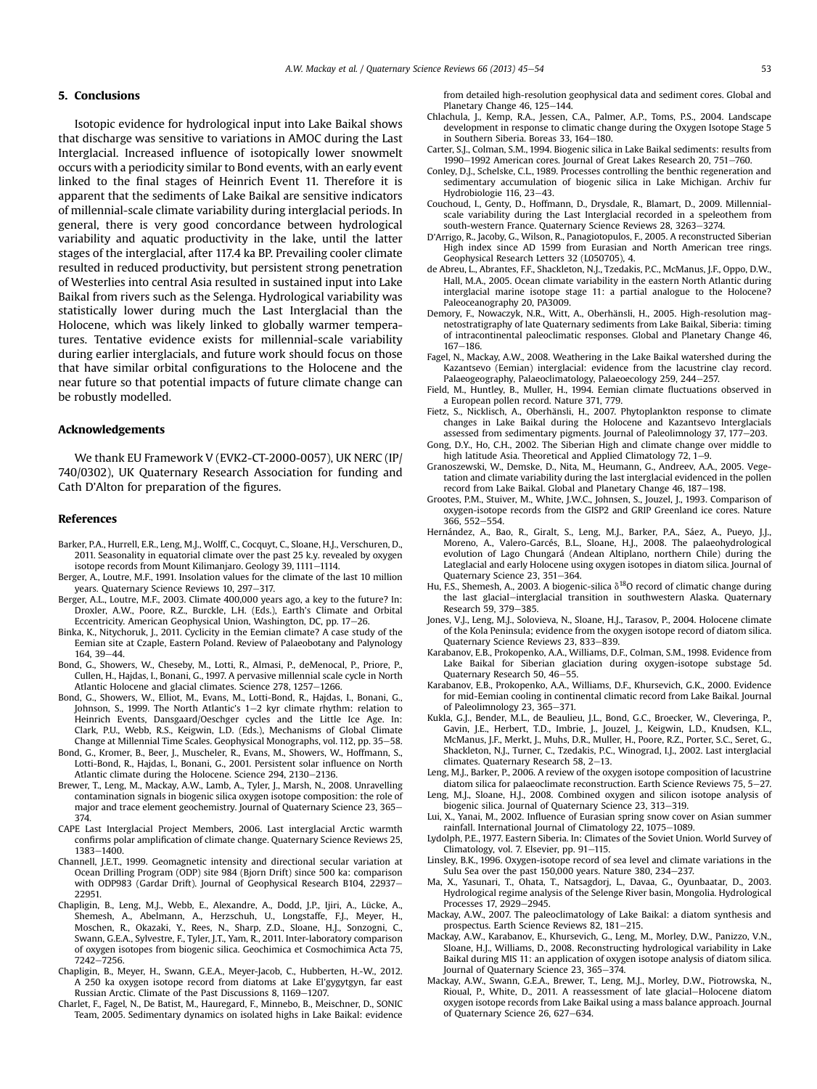## <span id="page-8-0"></span>5. Conclusions

Isotopic evidence for hydrological input into Lake Baikal shows that discharge was sensitive to variations in AMOC during the Last Interglacial. Increased influence of isotopically lower snowmelt occurs with a periodicity similar to Bond events, with an early event linked to the final stages of Heinrich Event 11. Therefore it is apparent that the sediments of Lake Baikal are sensitive indicators of millennial-scale climate variability during interglacial periods. In general, there is very good concordance between hydrological variability and aquatic productivity in the lake, until the latter stages of the interglacial, after 117.4 ka BP. Prevailing cooler climate resulted in reduced productivity, but persistent strong penetration of Westerlies into central Asia resulted in sustained input into Lake Baikal from rivers such as the Selenga. Hydrological variability was statistically lower during much the Last Interglacial than the Holocene, which was likely linked to globally warmer temperatures. Tentative evidence exists for millennial-scale variability during earlier interglacials, and future work should focus on those that have similar orbital configurations to the Holocene and the near future so that potential impacts of future climate change can be robustly modelled.

## Acknowledgements

We thank EU Framework V (EVK2-CT-2000-0057), UK NERC (IP/ 740/0302), UK Quaternary Research Association for funding and Cath D'Alton for preparation of the figures.

#### References

- Barker, P.A., Hurrell, E.R., Leng, M.J., Wolff, C., Cocquyt, C., Sloane, H.J., Verschuren, D., 2011. Seasonality in equatorial climate over the past 25 k.y. revealed by oxygen isotope records from Mount Kilimanjaro. Geology 39, 1111-1114.
- Berger, A., Loutre, M.F., 1991. Insolation values for the climate of the last 10 million years. Quaternary Science Reviews 10, 297-317.
- Berger, A.L., Loutre, M.F., 2003. Climate 400,000 years ago, a key to the future? In: Droxler, A.W., Poore, R.Z., Burckle, L.H. (Eds.), Earth's Climate and Orbital Eccentricity. American Geophysical Union, Washington, DC, pp. 17-26.
- Binka, K., Nitychoruk, J., 2011. Cyclicity in the Eemian climate? A case study of the Eemian site at Czaple, Eastern Poland. Review of Palaeobotany and Palynology  $164.39 - 44.$
- Bond, G., Showers, W., Cheseby, M., Lotti, R., Almasi, P., deMenocal, P., Priore, P., Cullen, H., Hajdas, I., Bonani, G., 1997. A pervasive millennial scale cycle in North Atlantic Holocene and glacial climates. Science 278, 1257e1266.
- Bond, G., Showers, W., Elliot, M., Evans, M., Lotti-Bond, R., Hajdas, I., Bonani, G., Johnson, S., 1999. The North Atlantic's  $1-2$  kyr climate rhythm: relation to Heinrich Events, Dansgaard/Oeschger cycles and the Little Ice Age. In: Clark, P.U., Webb, R.S., Keigwin, L.D. (Eds.), Mechanisms of Global Climate Change at Millennial Time Scales. Geophysical Monographs, vol. 112, pp. 35–58.
- Bond, G., Kromer, B., Beer, J., Muscheler, R., Evans, M., Showers, W., Hoffmann, S., Lotti-Bond, R., Hajdas, I., Bonani, G., 2001. Persistent solar influence on North Atlantic climate during the Holocene. Science 294, 2130-2136.
- Brewer, T., Leng, M., Mackay, A.W., Lamb, A., Tyler, J., Marsh, N., 2008. Unravelling contamination signals in biogenic silica oxygen isotope composition: the role of major and trace element geochemistry. Journal of Quaternary Science 23, 365-374.
- CAPE Last Interglacial Project Members, 2006. Last interglacial Arctic warmth confirms polar amplification of climate change. Quaternary Science Reviews 25, 1383-1400
- Channell, J.E.T., 1999. Geomagnetic intensity and directional secular variation at Ocean Drilling Program (ODP) site 984 (Bjorn Drift) since 500 ka: comparison with ODP983 (Gardar Drift). Journal of Geophysical Research B104, 22937-22951.
- Chapligin, B., Leng, M.J., Webb, E., Alexandre, A., Dodd, J.P., Ijiri, A., Lücke, A., Shemesh, A., Abelmann, A., Herzschuh, U., Longstaffe, F.J., Meyer, H., Moschen, R., Okazaki, Y., Rees, N., Sharp, Z.D., Sloane, H.J., Sonzogni, C., Swann, G.E.A., Sylvestre, F., Tyler, J.T., Yam, R., 2011. Inter-laboratory comparison of oxygen isotopes from biogenic silica. Geochimica et Cosmochimica Acta 75, 7242-7256.
- Chapligin, B., Meyer, H., Swann, G.E.A., Meyer-Jacob, C., Hubberten, H.-W., 2012. A 250 ka oxygen isotope record from diatoms at Lake El'gygytgyn, far east Russian Arctic. Climate of the Past Discussions 8, 1169-1207.
- Charlet, F., Fagel, N., De Batist, M., Hauregard, F., Minnebo, B., Meischner, D., SONIC Team, 2005. Sedimentary dynamics on isolated highs in Lake Baikal: evidence

from detailed high-resolution geophysical data and sediment cores. Global and Planetary Change 46, 125-144.

- Chlachula, J., Kemp, R.A., Jessen, C.A., Palmer, A.P., Toms, P.S., 2004. Landscape development in response to climatic change during the Oxygen Isotope Stage 5 in Southern Siberia. Boreas 33, 164-180.
- Carter, S.J., Colman, S.M., 1994. Biogenic silica in Lake Baikal sediments: results from 1990-1992 American cores. Journal of Great Lakes Research 20, 751-760.
- Conley, D.J., Schelske, C.L., 1989. Processes controlling the benthic regeneration and sedimentary accumulation of biogenic silica in Lake Michigan. Archiv fur Hydrobiologie 116, 23-43.
- Couchoud, I., Genty, D., Hoffmann, D., Drysdale, R., Blamart, D., 2009. Millennialscale variability during the Last Interglacial recorded in a speleothem from south-western France. Quaternary Science Reviews 28, 3263-3274.
- D'Arrigo, R., Jacoby, G., Wilson, R., Panagiotopulos, F., 2005. A reconstructed Siberian High index since AD 1599 from Eurasian and North American tree rings. Geophysical Research Letters 32 (L050705), 4.
- de Abreu, L., Abrantes, F.F., Shackleton, N.J., Tzedakis, P.C., McManus, J.F., Oppo, D.W., Hall, M.A., 2005. Ocean climate variability in the eastern North Atlantic during interglacial marine isotope stage 11: a partial analogue to the Holocene? Paleoceanography 20, PA3009.
- Demory, F., Nowaczyk, N.R., Witt, A., Oberhänsli, H., 2005. High-resolution magnetostratigraphy of late Quaternary sediments from Lake Baikal, Siberia: timing of intracontinental paleoclimatic responses. Global and Planetary Change 46, 167-186
- Fagel, N., Mackay, A.W., 2008. Weathering in the Lake Baikal watershed during the Kazantsevo (Eemian) interglacial: evidence from the lacustrine clay record. Palaeogeography, Palaeoclimatology, Palaeoecology 259, 244-257.
- Field, M., Huntley, B., Muller, H., 1994. Eemian climate fluctuations observed in a European pollen record. Nature 371, 779.
- Fietz, S., Nicklisch, A., Oberhänsli, H., 2007. Phytoplankton response to climate changes in Lake Baikal during the Holocene and Kazantsevo Interglacials assessed from sedimentary pigments. Journal of Paleolimnology 37, 177-203.
- Gong, D.Y., Ho, C.H., 2002. The Siberian High and climate change over middle to high latitude Asia. Theoretical and Applied Climatology 72, 1-9.
- Granoszewski, W., Demske, D., Nita, M., Heumann, G., Andreev, A.A., 2005. Vegetation and climate variability during the last interglacial evidenced in the pollen record from Lake Baikal. Global and Planetary Change 46, 187-198.
- Grootes, P.M., Stuiver, M., White, J.W.C., Johnsen, S., Jouzel, J., 1993. Comparison of oxygen-isotope records from the GISP2 and GRIP Greenland ice cores. Nature 366, 552-554.
- Hernández, A., Bao, R., Giralt, S., Leng, M.J., Barker, P.A., Sáez, A., Pueyo, J.J., Moreno, A., Valero-Garcés, B.L., Sloane, H.J., 2008. The palaeohydrological evolution of Lago Chungará (Andean Altiplano, northern Chile) during the Lateglacial and early Holocene using oxygen isotopes in diatom silica. Journal of Quaternary Science 23, 351-364.
- Hu, F.S., Shemesh, A., 2003. A biogenic-silica  $\delta^{18}$ O record of climatic change during the last glacial-interglacial transition in southwestern Alaska. Quaternary Research 59, 379-385.
- Jones, V.J., Leng, M.J., Solovieva, N., Sloane, H.J., Tarasov, P., 2004. Holocene climate of the Kola Peninsula; evidence from the oxygen isotope record of diatom silica. Quaternary Science Reviews 23, 833-839.
- Karabanov, E.B., Prokopenko, A.A., Williams, D.F., Colman, S.M., 1998. Evidence from Lake Baikal for Siberian glaciation during oxygen-isotope substage 5d. Quaternary Research 50, 46-55
- Karabanov, E.B., Prokopenko, A.A., Williams, D.F., Khursevich, G.K., 2000. Evidence for mid-Eemian cooling in continental climatic record from Lake Baikal. Journal of Paleolimnology 23, 365-371.
- Kukla, G.J., Bender, M.L., de Beaulieu, J.L., Bond, G.C., Broecker, W., Cleveringa, P., Gavin, J.E., Herbert, T.D., Imbrie, J., Jouzel, J., Keigwin, L.D., Knudsen, K.L., McManus, J.F., Merkt, J., Muhs, D.R., Muller, H., Poore, R.Z., Porter, S.C., Seret, G., Shackleton, N.J., Turner, C., Tzedakis, P.C., Winograd, I.J., 2002. Last interglacial climates. Quaternary Research 58, 2-13.
- Leng, M.J., Barker, P., 2006. A review of the oxygen isotope composition of lacustrine diatom silica for palaeoclimate reconstruction. Earth Science Reviews 75, 5-27. Leng, M.J., Sloane, H.J., 2008. Combined oxygen and silicon isotope analysis of
- biogenic silica. Journal of Quaternary Science 23, 313-319.
- Lui, X., Yanai, M., 2002. Influence of Eurasian spring snow cover on Asian summer rainfall. International Journal of Climatology 22, 1075-1089.
- Lydolph, P.E., 1977. Eastern Siberia. In: Climates of the Soviet Union. World Survey of Climatology, vol. 7. Elsevier, pp. 91-115.
- Linsley, B.K., 1996. Oxygen-isotope record of sea level and climate variations in the Sulu Sea over the past  $150,000$  years. Nature 380, 234-237.
- Ma, X., Yasunari, T., Ohata, T., Natsagdorj, L., Davaa, G., Oyunbaatar, D., 2003. Hydrological regime analysis of the Selenge River basin, Mongolia. Hydrological Processes 17, 2929-2945.
- Mackay, A.W., 2007. The paleoclimatology of Lake Baikal: a diatom synthesis and prospectus. Earth Science Reviews 82, 181-215.
- Mackay, A.W., Karabanov, E., Khursevich, G., Leng, M., Morley, D.W., Panizzo, V.N., Sloane, H.J., Williams, D., 2008. Reconstructing hydrological variability in Lake Baikal during MIS 11: an application of oxygen isotope analysis of diatom silica. Journal of Ouaternary Science 23, 365-374.
- Mackay, A.W., Swann, G.E.A., Brewer, T., Leng, M.J., Morley, D.W., Piotrowska, N., Rioual, P., White, D., 2011. A reassessment of late glacial-Holocene diatom oxygen isotope records from Lake Baikal using a mass balance approach. Journal of Quaternary Science 26, 627–634.